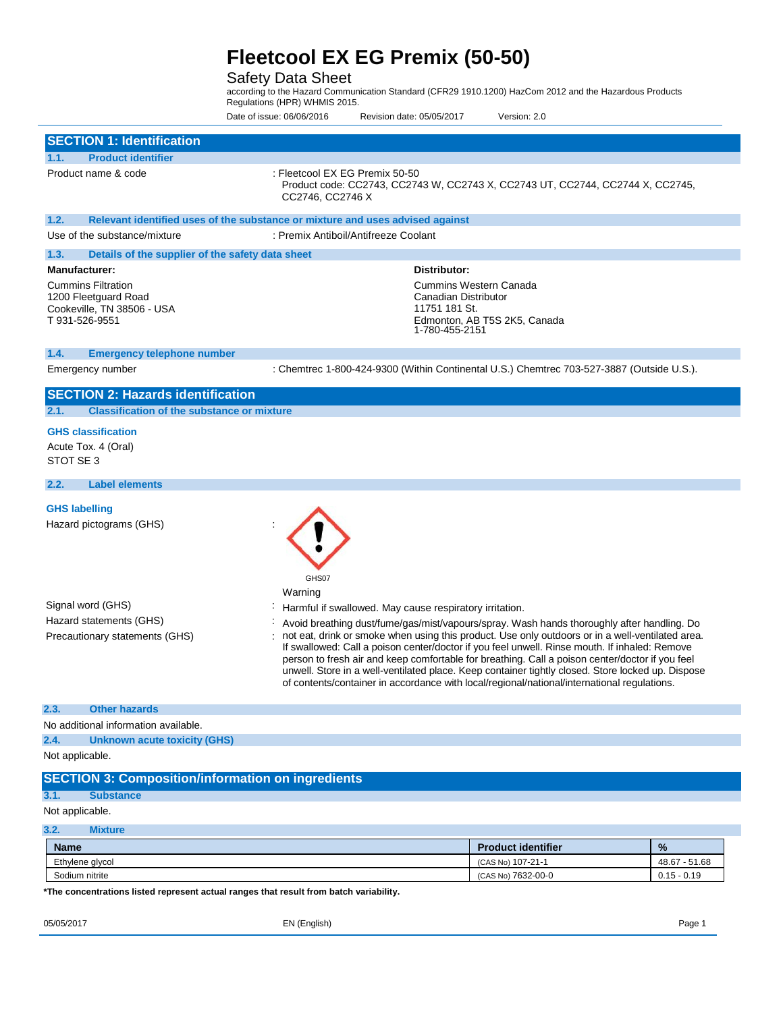## Safety Data Sheet

according to the Hazard Communication Standard (CFR29 1910.1200) HazCom 2012 and the Hazardous Products Regulations (HPR) WHMIS 2015.

Date of issue: 06/06/2016 Revision date: 05/05/2017 Version: 2.0

| <b>SECTION 1: Identification</b>                                                                  |                                                                                                                                                                                                                                                                                                                                                                                                                                                                                                          |                                                                                       |               |
|---------------------------------------------------------------------------------------------------|----------------------------------------------------------------------------------------------------------------------------------------------------------------------------------------------------------------------------------------------------------------------------------------------------------------------------------------------------------------------------------------------------------------------------------------------------------------------------------------------------------|---------------------------------------------------------------------------------------|---------------|
| <b>Product identifier</b><br>1.1.                                                                 |                                                                                                                                                                                                                                                                                                                                                                                                                                                                                                          |                                                                                       |               |
| Product name & code                                                                               | : Fleetcool EX EG Premix 50-50<br>Product code: CC2743, CC2743 W, CC2743 X, CC2743 UT, CC2744, CC2744 X, CC2745,<br>CC2746, CC2746 X                                                                                                                                                                                                                                                                                                                                                                     |                                                                                       |               |
| 1.2.                                                                                              | Relevant identified uses of the substance or mixture and uses advised against                                                                                                                                                                                                                                                                                                                                                                                                                            |                                                                                       |               |
| Use of the substance/mixture                                                                      | : Premix Antiboil/Antifreeze Coolant                                                                                                                                                                                                                                                                                                                                                                                                                                                                     |                                                                                       |               |
| 1.3.<br>Details of the supplier of the safety data sheet                                          |                                                                                                                                                                                                                                                                                                                                                                                                                                                                                                          |                                                                                       |               |
| <b>Manufacturer:</b>                                                                              | Distributor:                                                                                                                                                                                                                                                                                                                                                                                                                                                                                             |                                                                                       |               |
| <b>Cummins Filtration</b><br>1200 Fleetguard Road<br>Cookeville, TN 38506 - USA<br>T 931-526-9551 | 11751 181 St.<br>1-780-455-2151                                                                                                                                                                                                                                                                                                                                                                                                                                                                          | <b>Cummins Western Canada</b><br>Canadian Distributor<br>Edmonton, AB T5S 2K5, Canada |               |
| 1.4.<br><b>Emergency telephone number</b>                                                         |                                                                                                                                                                                                                                                                                                                                                                                                                                                                                                          |                                                                                       |               |
| Emergency number                                                                                  | : Chemtrec 1-800-424-9300 (Within Continental U.S.) Chemtrec 703-527-3887 (Outside U.S.).                                                                                                                                                                                                                                                                                                                                                                                                                |                                                                                       |               |
| <b>SECTION 2: Hazards identification</b>                                                          |                                                                                                                                                                                                                                                                                                                                                                                                                                                                                                          |                                                                                       |               |
| <b>Classification of the substance or mixture</b><br>2.1.                                         |                                                                                                                                                                                                                                                                                                                                                                                                                                                                                                          |                                                                                       |               |
| <b>GHS classification</b><br>Acute Tox. 4 (Oral)<br>STOT SE 3                                     |                                                                                                                                                                                                                                                                                                                                                                                                                                                                                                          |                                                                                       |               |
| <b>Label elements</b><br>2.2.                                                                     |                                                                                                                                                                                                                                                                                                                                                                                                                                                                                                          |                                                                                       |               |
| <b>GHS labelling</b><br>Hazard pictograms (GHS)                                                   | GHS07<br>Warning                                                                                                                                                                                                                                                                                                                                                                                                                                                                                         |                                                                                       |               |
| Signal word (GHS)                                                                                 | Harmful if swallowed. May cause respiratory irritation.                                                                                                                                                                                                                                                                                                                                                                                                                                                  |                                                                                       |               |
| Hazard statements (GHS)                                                                           | Avoid breathing dust/fume/gas/mist/vapours/spray. Wash hands thoroughly after handling. Do                                                                                                                                                                                                                                                                                                                                                                                                               |                                                                                       |               |
| Precautionary statements (GHS)                                                                    | not eat, drink or smoke when using this product. Use only outdoors or in a well-ventilated area.<br>If swallowed: Call a poison center/doctor if you feel unwell. Rinse mouth. If inhaled: Remove<br>person to fresh air and keep comfortable for breathing. Call a poison center/doctor if you feel<br>unwell. Store in a well-ventilated place. Keep container tightly closed. Store locked up. Dispose<br>of contents/container in accordance with local/regional/national/international regulations. |                                                                                       |               |
| 2.3.<br><b>Other hazards</b>                                                                      |                                                                                                                                                                                                                                                                                                                                                                                                                                                                                                          |                                                                                       |               |
| No additional information available.                                                              |                                                                                                                                                                                                                                                                                                                                                                                                                                                                                                          |                                                                                       |               |
| 2.4.<br><b>Unknown acute toxicity (GHS)</b>                                                       |                                                                                                                                                                                                                                                                                                                                                                                                                                                                                                          |                                                                                       |               |
| Not applicable.                                                                                   |                                                                                                                                                                                                                                                                                                                                                                                                                                                                                                          |                                                                                       |               |
| <b>SECTION 3: Composition/information on ingredients</b>                                          |                                                                                                                                                                                                                                                                                                                                                                                                                                                                                                          |                                                                                       |               |
| <b>Substance</b><br>3.1.                                                                          |                                                                                                                                                                                                                                                                                                                                                                                                                                                                                                          |                                                                                       |               |
| Not applicable.                                                                                   |                                                                                                                                                                                                                                                                                                                                                                                                                                                                                                          |                                                                                       |               |
| 3.2.<br><b>Mixture</b>                                                                            |                                                                                                                                                                                                                                                                                                                                                                                                                                                                                                          |                                                                                       |               |
| <b>Name</b>                                                                                       |                                                                                                                                                                                                                                                                                                                                                                                                                                                                                                          | <b>Product identifier</b>                                                             | %             |
| Ethylene glycol                                                                                   |                                                                                                                                                                                                                                                                                                                                                                                                                                                                                                          | (CAS No) 107-21-1                                                                     | 48.67 - 51.68 |
| Sodium nitrite                                                                                    |                                                                                                                                                                                                                                                                                                                                                                                                                                                                                                          | (CAS No) 7632-00-0                                                                    | $0.15 - 0.19$ |

**\*The concentrations listed represent actual ranges that result from batch variability.**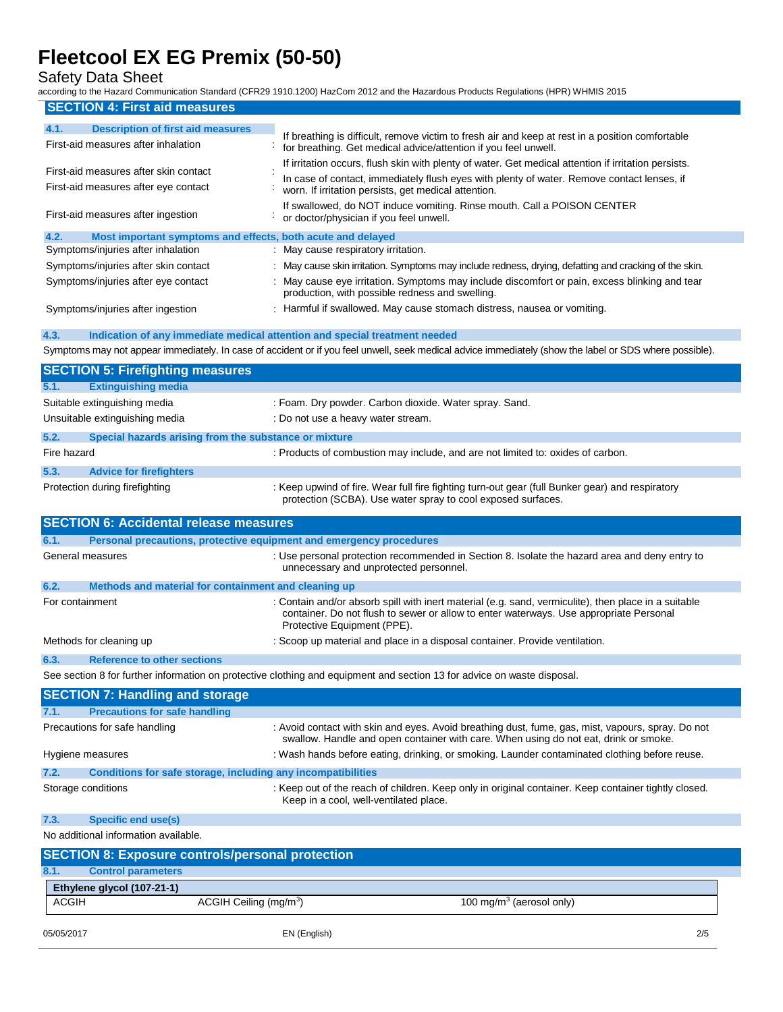Safety Data Sheet

according to the Hazard Communication Standard (CFR29 1910.1200) HazCom 2012 and the Hazardous Products Regulations (HPR) WHMIS 2015

| <b>SECTION 4: First aid measures</b>                                                                                                                                                     |                                                                                                                                                                                                                                                                                                                                       |
|------------------------------------------------------------------------------------------------------------------------------------------------------------------------------------------|---------------------------------------------------------------------------------------------------------------------------------------------------------------------------------------------------------------------------------------------------------------------------------------------------------------------------------------|
| 4.1.<br><b>Description of first aid measures</b><br>First-aid measures after inhalation                                                                                                  | If breathing is difficult, remove victim to fresh air and keep at rest in a position comfortable<br>for breathing. Get medical advice/attention if you feel unwell.                                                                                                                                                                   |
| First-aid measures after skin contact<br>First-aid measures after eye contact                                                                                                            | If irritation occurs, flush skin with plenty of water. Get medical attention if irritation persists.<br>In case of contact, immediately flush eyes with plenty of water. Remove contact lenses, if<br>worn. If irritation persists, get medical attention.<br>If swallowed, do NOT induce vomiting. Rinse mouth. Call a POISON CENTER |
| First-aid measures after ingestion                                                                                                                                                       | or doctor/physician if you feel unwell.                                                                                                                                                                                                                                                                                               |
| 4.2.<br>Most important symptoms and effects, both acute and delayed<br>Symptoms/injuries after inhalation<br>Symptoms/injuries after skin contact<br>Symptoms/injuries after eye contact | : May cause respiratory irritation.<br>: May cause skin irritation. Symptoms may include redness, drying, defatting and cracking of the skin.<br>: May cause eye irritation. Symptoms may include discomfort or pain, excess blinking and tear<br>production, with possible redness and swelling.                                     |
| Symptoms/injuries after ingestion                                                                                                                                                        | : Harmful if swallowed. May cause stomach distress, nausea or vomiting.                                                                                                                                                                                                                                                               |
| 4.3.<br>Indication of any immediate medical attention and special treatment needed                                                                                                       | Symptoms may not appear immediately. In case of accident or if you feel unwell, seek medical advice immediately (show the label or SDS where possible).                                                                                                                                                                               |
| <b>SECTION 5: Firefighting measures</b>                                                                                                                                                  |                                                                                                                                                                                                                                                                                                                                       |
| <b>Extinguishing media</b><br>5.1.<br>Suitable extinguishing media<br>Unsuitable extinguishing media                                                                                     | : Foam. Dry powder. Carbon dioxide. Water spray. Sand.<br>: Do not use a heavy water stream.                                                                                                                                                                                                                                          |
| 5.2.<br>Special hazards arising from the substance or mixture                                                                                                                            |                                                                                                                                                                                                                                                                                                                                       |
| Fire hazard                                                                                                                                                                              | : Products of combustion may include, and are not limited to: oxides of carbon.                                                                                                                                                                                                                                                       |
| 5.3.<br><b>Advice for firefighters</b><br>Protection during firefighting                                                                                                                 | : Keep upwind of fire. Wear full fire fighting turn-out gear (full Bunker gear) and respiratory<br>protection (SCBA). Use water spray to cool exposed surfaces.                                                                                                                                                                       |
| <b>SECTION 6: Accidental release measures</b>                                                                                                                                            |                                                                                                                                                                                                                                                                                                                                       |
| 6.1.<br>Personal precautions, protective equipment and emergency procedures                                                                                                              |                                                                                                                                                                                                                                                                                                                                       |
| General measures                                                                                                                                                                         | : Use personal protection recommended in Section 8. Isolate the hazard area and deny entry to<br>unnecessary and unprotected personnel.                                                                                                                                                                                               |

| 6.2.            | Methods and material for containment and cleaning up |                                                                                                                                                                                                |
|-----------------|------------------------------------------------------|------------------------------------------------------------------------------------------------------------------------------------------------------------------------------------------------|
| For containment |                                                      | : Contain and/or absorb spill with inert material (e.g. sand, vermiculite), then place in a suitable<br>container. Do not flush to sewer or allow to enter waterways. Use appropriate Personal |
|                 |                                                      | Protective Equipment (PPE).                                                                                                                                                                    |

## Methods for cleaning up : Scoop up material and place in a disposal container. Provide ventilation.

**6.3. Reference to other sections**

See section 8 for further information on protective clothing and equipment and section 13 for advice on waste disposal.

|                                      | <b>SECTION 7: Handling and storage</b>                       |                                                                                                                                                                                           |  |
|--------------------------------------|--------------------------------------------------------------|-------------------------------------------------------------------------------------------------------------------------------------------------------------------------------------------|--|
| 7.1.                                 | <b>Precautions for safe handling</b>                         |                                                                                                                                                                                           |  |
|                                      | Precautions for safe handling                                | : Avoid contact with skin and eyes. Avoid breathing dust, fume, gas, mist, vapours, spray. Do not<br>swallow. Handle and open container with care. When using do not eat, drink or smoke. |  |
| Hygiene measures                     |                                                              | : Wash hands before eating, drinking, or smoking. Launder contaminated clothing before reuse.                                                                                             |  |
| 7.2.                                 | Conditions for safe storage, including any incompatibilities |                                                                                                                                                                                           |  |
| Storage conditions                   |                                                              | : Keep out of the reach of children. Keep only in original container. Keep container tightly closed.<br>Keep in a cool, well-ventilated place.                                            |  |
| 7.3.                                 | Specific end use(s)                                          |                                                                                                                                                                                           |  |
| No additional information available. |                                                              |                                                                                                                                                                                           |  |
|                                      | <b>SECTION 8: Exposure controls/personal protection</b>      |                                                                                                                                                                                           |  |

|      | <b>SECTION 8: Exposure controls/personal protection</b> |                                      |                                      |  |
|------|---------------------------------------------------------|--------------------------------------|--------------------------------------|--|
| 8.1. |                                                         | <b>Control parameters</b>            |                                      |  |
|      |                                                         | Ethylene glycol (107-21-1)           |                                      |  |
|      | <b>ACGIH</b>                                            | $ACGIH$ Ceiling (mg/m <sup>3</sup> ) | 100 mg/m <sup>3</sup> (aerosol only) |  |
|      |                                                         |                                      |                                      |  |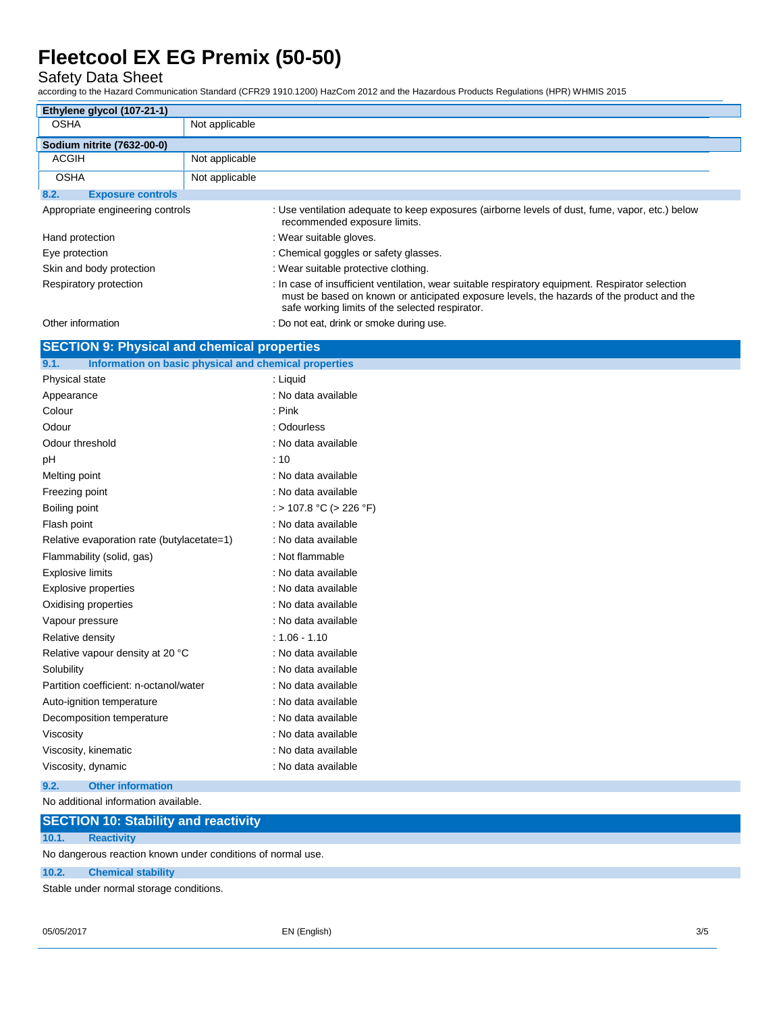Safety Data Sheet

according to the Hazard Communication Standard (CFR29 1910.1200) HazCom 2012 and the Hazardous Products Regulations (HPR) WHMIS 2015

| Ethylene glycol (107-21-1)       |                |                                                                                                                                                                                                                                                  |
|----------------------------------|----------------|--------------------------------------------------------------------------------------------------------------------------------------------------------------------------------------------------------------------------------------------------|
| <b>OSHA</b>                      | Not applicable |                                                                                                                                                                                                                                                  |
| Sodium nitrite (7632-00-0)       |                |                                                                                                                                                                                                                                                  |
| <b>ACGIH</b>                     | Not applicable |                                                                                                                                                                                                                                                  |
| <b>OSHA</b>                      | Not applicable |                                                                                                                                                                                                                                                  |
| 8.2.<br><b>Exposure controls</b> |                |                                                                                                                                                                                                                                                  |
| Appropriate engineering controls |                | : Use ventilation adequate to keep exposures (airborne levels of dust, fume, vapor, etc.) below<br>recommended exposure limits.                                                                                                                  |
| Hand protection                  |                | : Wear suitable gloves.                                                                                                                                                                                                                          |
| Eye protection                   |                | : Chemical goggles or safety glasses.                                                                                                                                                                                                            |
| Skin and body protection         |                | : Wear suitable protective clothing.                                                                                                                                                                                                             |
| Respiratory protection           |                | : In case of insufficient ventilation, wear suitable respiratory equipment. Respirator selection<br>must be based on known or anticipated exposure levels, the hazards of the product and the<br>safe working limits of the selected respirator. |
| Other information                |                | : Do not eat, drink or smoke during use.                                                                                                                                                                                                         |

| <b>SECTION 9: Physical and chemical properties</b>            |                         |
|---------------------------------------------------------------|-------------------------|
| 9.1.<br>Information on basic physical and chemical properties |                         |
| Physical state                                                | : Liquid                |
| Appearance                                                    | : No data available     |
| Colour                                                        | $:$ Pink                |
| Odour                                                         | : Odourless             |
| Odour threshold                                               | : No data available     |
| pH                                                            | : 10                    |
| Melting point                                                 | : No data available     |
| Freezing point                                                | : No data available     |
| Boiling point                                                 | : > 107.8 °C (> 226 °F) |
| Flash point                                                   | : No data available     |
| Relative evaporation rate (butylacetate=1)                    | : No data available     |
| Flammability (solid, gas)                                     | : Not flammable         |
| <b>Explosive limits</b>                                       | : No data available     |
| Explosive properties                                          | : No data available     |
| Oxidising properties                                          | : No data available     |
| Vapour pressure                                               | : No data available     |
| Relative density                                              | $: 1.06 - 1.10$         |
| Relative vapour density at 20 °C                              | : No data available     |
| Solubility                                                    | : No data available     |
| Partition coefficient: n-octanol/water                        | : No data available     |
| Auto-ignition temperature                                     | : No data available     |
| Decomposition temperature                                     | : No data available     |
| Viscosity                                                     | : No data available     |
| Viscosity, kinematic                                          | : No data available     |
| Viscosity, dynamic                                            | : No data available     |
| 9.2.<br><b>Other information</b>                              |                         |
|                                                               |                         |

No additional information available.

|       | <b>SECTION 10: Stability and reactivity</b>                                                                     |
|-------|-----------------------------------------------------------------------------------------------------------------|
| 10.1. | <b>Reactivity</b>                                                                                               |
|       | No dangerous reaction known under conditions of normal use.                                                     |
| 10.2. | <b>Chemical stability</b>                                                                                       |
|       | At all the second contracted and contracted and the second state of the second state of the second state of the |

Stable under normal storage conditions.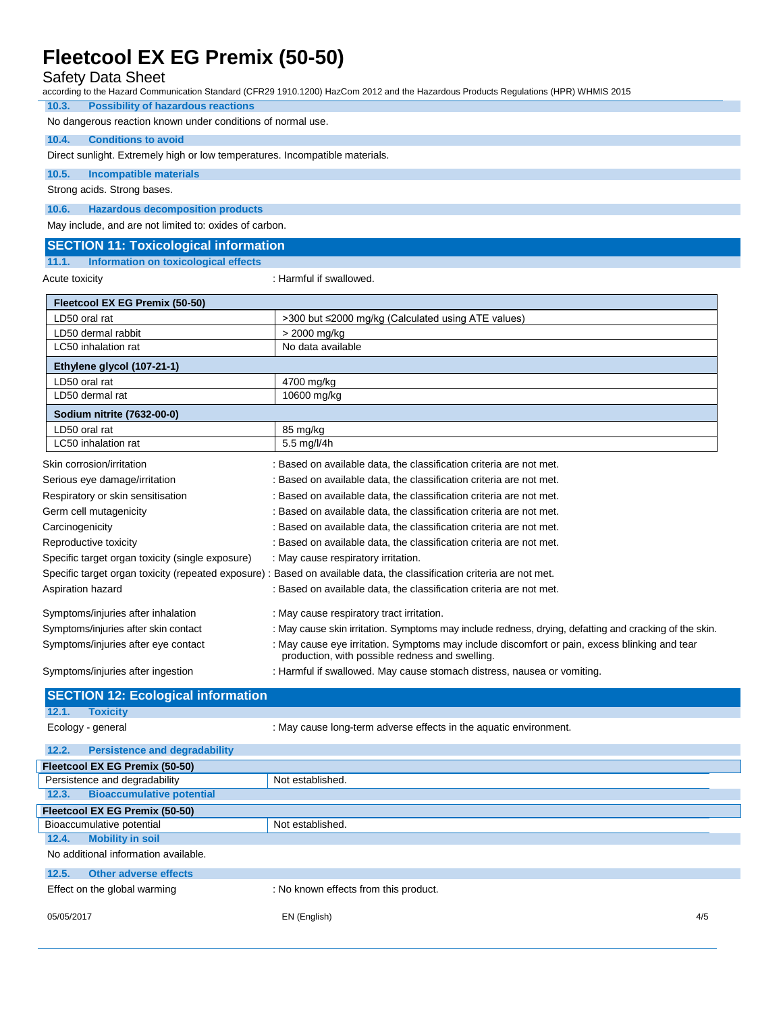### Safety Data Sheet

according to the Hazard Communication Standard (CFR29 1910.1200) HazCom 2012 and the Hazardous Products Regulations (HPR) WHMIS 2015

### **10.3. Possibility of hazardous reactions** No dangerous reaction known under conditions of normal use.

### **10.4. Conditions to avoid**

Direct sunlight. Extremely high or low temperatures. Incompatible materials.

#### **10.5. Incompatible materials**

Strong acids. Strong bases.

### **10.6. Hazardous decomposition products**

May include, and are not limited to: oxides of carbon.

#### **SECTION 11: Toxicological information**

#### **11.1. Information on toxicological effects**

Acute toxicity **in the case of the CALIST**  $\sim$  Harmful if swallowed.

| Fleetcool EX EG Premix (50-50)                   |                                                                                                                                                  |  |
|--------------------------------------------------|--------------------------------------------------------------------------------------------------------------------------------------------------|--|
| LD50 oral rat                                    | >300 but ≤2000 mg/kg (Calculated using ATE values)                                                                                               |  |
| LD50 dermal rabbit                               | > 2000 mg/kg                                                                                                                                     |  |
| LC50 inhalation rat                              | No data available                                                                                                                                |  |
| Ethylene glycol (107-21-1)                       |                                                                                                                                                  |  |
| LD50 oral rat                                    | 4700 mg/kg                                                                                                                                       |  |
| LD50 dermal rat                                  | 10600 mg/kg                                                                                                                                      |  |
| Sodium nitrite (7632-00-0)                       |                                                                                                                                                  |  |
| LD50 oral rat                                    | 85 mg/kg                                                                                                                                         |  |
| LC50 inhalation rat                              | 5.5 mg/l/4h                                                                                                                                      |  |
| Skin corrosion/irritation                        | : Based on available data, the classification criteria are not met.                                                                              |  |
| Serious eye damage/irritation                    | : Based on available data, the classification criteria are not met.                                                                              |  |
| Respiratory or skin sensitisation                | : Based on available data, the classification criteria are not met.                                                                              |  |
| Germ cell mutagenicity                           | : Based on available data, the classification criteria are not met.                                                                              |  |
| Carcinogenicity                                  | : Based on available data, the classification criteria are not met.                                                                              |  |
| Reproductive toxicity                            | : Based on available data, the classification criteria are not met.                                                                              |  |
| Specific target organ toxicity (single exposure) | : May cause respiratory irritation.                                                                                                              |  |
|                                                  | Specific target organ toxicity (repeated exposure) : Based on available data, the classification criteria are not met.                           |  |
| Aspiration hazard                                | : Based on available data, the classification criteria are not met.                                                                              |  |
| Symptoms/injuries after inhalation               | : May cause respiratory tract irritation.                                                                                                        |  |
| Symptoms/injuries after skin contact             | : May cause skin irritation. Symptoms may include redness, drying, defatting and cracking of the skin.                                           |  |
| Symptoms/injuries after eye contact              | : May cause eye irritation. Symptoms may include discomfort or pain, excess blinking and tear<br>production, with possible redness and swelling. |  |

Symptoms/injuries after ingestion : Harmful if swallowed. May cause stomach distress, nausea or vomiting.

## **SECTION 12: Ecological information 12.1. Toxicity** Ecology - general interest in the aquatic environment. : May cause long-term adverse effects in the aquatic environment. **12.2. Persistence and degradability Fleetcool EX EG Premix (50-50)** Persistence and degradability Not established. **12.3. Bioaccumulative potential Fleetcool EX EG Premix (50-50)** Bioaccumulative potential Not established. **12.4. Mobility in soil**

No additional information available.

#### **12.5. Other adverse effects**

Effect on the global warming : No known effects from this product.

05/05/2017 EN (English) 4/5